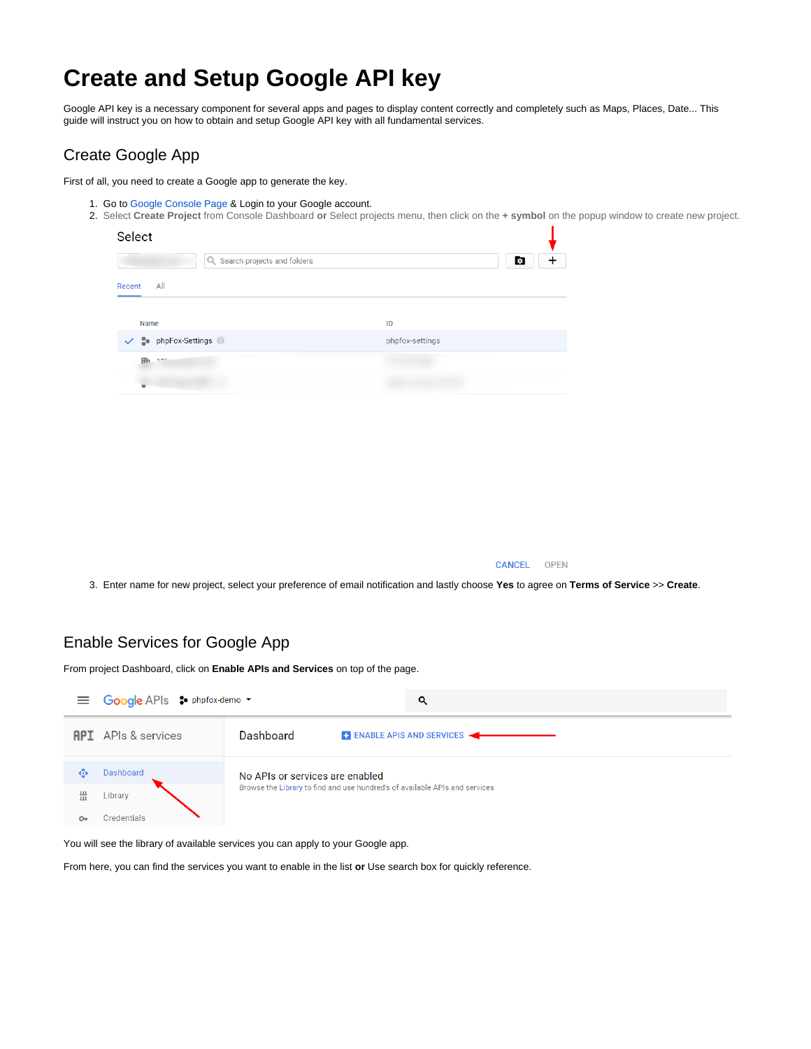## **Create and Setup Google API key**

Google API key is a necessary component for several apps and pages to display content correctly and completely such as Maps, Places, Date... This guide will instruct you on how to obtain and setup Google API key with all fundamental services.

#### Create Google App

First of all, you need to create a Google app to generate the key.

- 1. Go to [Google Console Page](https://console.developers.google.com) & Login to your Google account.
	- 2. Select **Create Project** from Console Dashboard **or** Select projects menu, then click on the **+ symbol** on the popup window to create new project.

| <b>Select</b> |                      |                 |  |
|---------------|----------------------|-----------------|--|
|               | o                    |                 |  |
| All<br>Recent |                      |                 |  |
| Name          |                      | ID              |  |
|               | ↓ So phpFox-Settings | phpfox-settings |  |
| Hb.           | 101                  |                 |  |
|               |                      |                 |  |

**CANCEL OPEN** 

3. Enter name for new project, select your preference of email notification and lastly choose **Yes** to agree on **Terms of Service** >> **Create**.

#### Enable Services for Google App

From project Dashboard, click on **Enable APIs and Services** on top of the page.

|                    | <sup>■</sup> Google APIs <sup>•</sup> phpfox-demo ▼ | Q                                                                           |  |  |
|--------------------|-----------------------------------------------------|-----------------------------------------------------------------------------|--|--|
|                    | <b>API</b> APIs & services                          | Dashboard<br><b>ENABLE APIS AND SERVICES</b>                                |  |  |
| 63                 | <b>Dashboard</b>                                    | No APIs or services are enabled                                             |  |  |
| 쁦                  | Library                                             | Browse the Library to find and use hundred's of available APIs and services |  |  |
| $O_{\overline{X}}$ | Credentials                                         |                                                                             |  |  |

You will see the library of available services you can apply to your Google app.

From here, you can find the services you want to enable in the list **or** Use search box for quickly reference.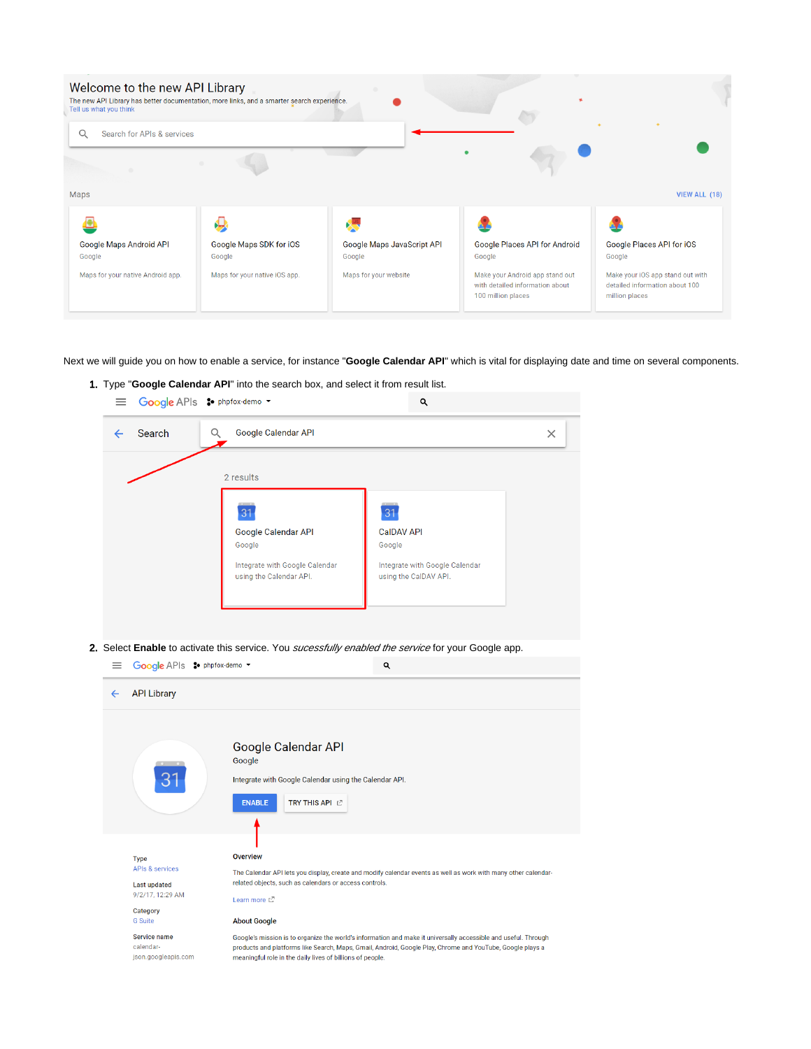| Welcome to the new API Library<br>The new API Library has better documentation, more links, and a smarter search experience.<br>Tell us what you think |                                   |                                      |                                                                                          |                                                                                      |
|--------------------------------------------------------------------------------------------------------------------------------------------------------|-----------------------------------|--------------------------------------|------------------------------------------------------------------------------------------|--------------------------------------------------------------------------------------|
| Q<br>Search for APIs & services                                                                                                                        |                                   |                                      |                                                                                          |                                                                                      |
|                                                                                                                                                        |                                   |                                      |                                                                                          |                                                                                      |
| Maps                                                                                                                                                   |                                   |                                      |                                                                                          | VIEW ALL (18)                                                                        |
|                                                                                                                                                        |                                   |                                      |                                                                                          |                                                                                      |
| Google Maps Android API<br>Google                                                                                                                      | Google Maps SDK for iOS<br>Google | Google Maps JavaScript API<br>Google | Google Places API for Android<br>Google                                                  | Google Places API for iOS<br>Google                                                  |
| Maps for your native Android app.                                                                                                                      | Maps for your native iOS app.     | Maps for your website                | Make your Android app stand out<br>with detailed information about<br>100 million places | Make your iOS app stand out with<br>detailed information about 100<br>million places |

Next we will guide you on how to enable a service, for instance "**Google Calendar API**" which is vital for displaying date and time on several components.

1. Type "**Google Calendar API**" into the search box, and select it from result list. Google APIs So phpfox-demo v  $\alpha$ 

| Search | Google Calendar API                                       |                                                         | × |
|--------|-----------------------------------------------------------|---------------------------------------------------------|---|
|        | 2 results                                                 |                                                         |   |
|        | 31                                                        | $\overline{31}$                                         |   |
|        | <b>Google Calendar API</b><br>Google                      | <b>CalDAV API</b><br>Google                             |   |
|        | Integrate with Google Calendar<br>using the Calendar API. | Integrate with Google Calendar<br>using the CalDAV API. |   |

2. Select **Enable** to activate this service. You sucessfully enabled the service for your Google app.

| ≡            | Google APIs : phpfox-demo -                                                                                        |                                                                                                                                                                                                                                                                                          | Q                                                                                                              |
|--------------|--------------------------------------------------------------------------------------------------------------------|------------------------------------------------------------------------------------------------------------------------------------------------------------------------------------------------------------------------------------------------------------------------------------------|----------------------------------------------------------------------------------------------------------------|
| $\leftarrow$ | <b>API Library</b>                                                                                                 |                                                                                                                                                                                                                                                                                          |                                                                                                                |
|              | 3 <sup>1</sup>                                                                                                     | Google Calendar API<br>Google<br>Integrate with Google Calendar using the Calendar API.<br>TRY THIS API <sup>C</sup><br><b>ENABLE</b>                                                                                                                                                    |                                                                                                                |
|              | <b>Type</b><br><b>APIs &amp; services</b><br><b>Last updated</b><br>9/2/17, 12:29 AM<br>Category<br><b>G</b> Suite | <b>Overview</b><br>related objects, such as calendars or access controls.<br>Learn more [2]<br><b>About Google</b>                                                                                                                                                                       | The Calendar API lets you display, create and modify calendar events as well as work with many other calendar- |
|              | Service name<br>calendar-<br>json.googleapis.com                                                                   | Google's mission is to organize the world's information and make it universally accessible and useful. Through<br>products and platforms like Search, Maps, Gmail, Android, Google Play, Chrome and YouTube, Google plays a<br>meaningful role in the daily lives of billions of people. |                                                                                                                |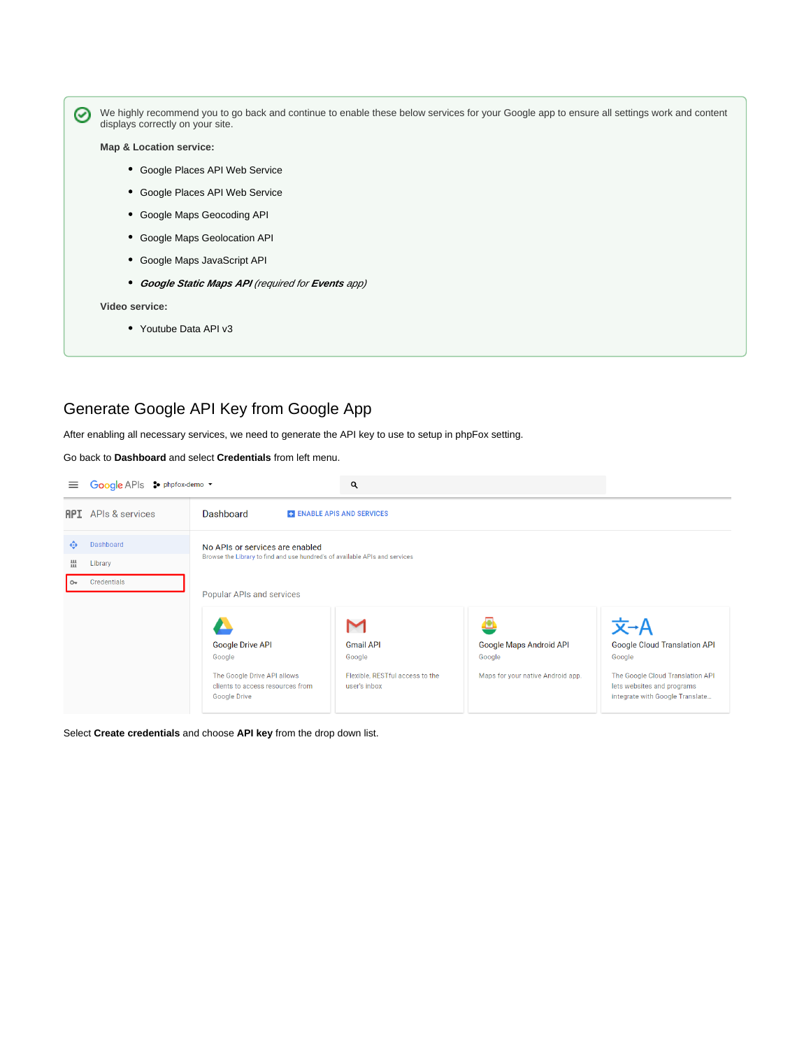0 displays correctly on your site. **Map & Location service:** Google Places API Web Service Google Places API Web Service Google Maps Geocoding API Google Maps Geolocation API Google Maps JavaScript API

We highly recommend you to go back and continue to enable these below services for your Google app to ensure all settings work and content

**Google Static Maps API** (required for **Events** app)

**Video service:**

Youtube Data API v3

#### Generate Google API Key from Google App

After enabling all necessary services, we need to generate the API key to use to setup in phpFox setting.

Go back to **Dashboard** and select **Credentials** from left menu.

| $\equiv$       | Google APIs : phpfox-demo - |                                                                                                                | Q                                               |                                   |                                                                                                   |
|----------------|-----------------------------|----------------------------------------------------------------------------------------------------------------|-------------------------------------------------|-----------------------------------|---------------------------------------------------------------------------------------------------|
|                | <b>API</b> APIs & services  | Dashboard<br><b>E. ENABLE APIS AND SERVICES</b>                                                                |                                                 |                                   |                                                                                                   |
| ŵ              | Dashboard                   | No APIs or services are enabled<br>Browse the Library to find and use hundred's of available APIs and services |                                                 |                                   |                                                                                                   |
| 쁣              | Library                     |                                                                                                                |                                                 |                                   |                                                                                                   |
| O <sub>T</sub> | Credentials                 | Popular APIs and services                                                                                      |                                                 |                                   |                                                                                                   |
|                |                             |                                                                                                                | M                                               |                                   | 文→A                                                                                               |
|                |                             | <b>Google Drive API</b>                                                                                        | <b>Gmail API</b>                                | Google Maps Android API           | <b>Google Cloud Translation API</b>                                                               |
|                |                             | Google                                                                                                         | Google                                          | Google                            | Google                                                                                            |
|                |                             | The Google Drive API allows<br>clients to access resources from<br>Google Drive                                | Flexible, RESTful access to the<br>user's inbox | Maps for your native Android app. | The Google Cloud Translation API<br>lets websites and programs<br>integrate with Google Translate |

Select **Create credentials** and choose **API key** from the drop down list.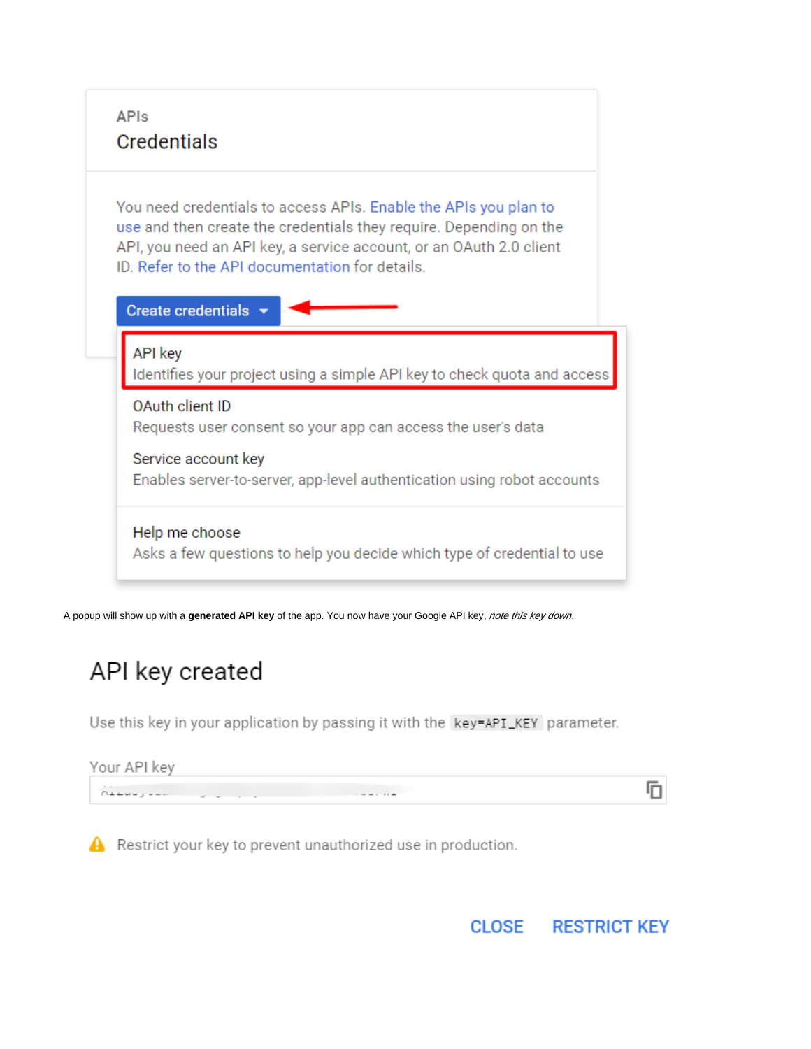

A popup will show up with a generated API key of the app. You now have your Google API key, note this key down.

# API key created

Use this key in your application by passing it with the key=API\_KEY parameter.

Your API key 冋 Albert Louis Communication of the Communication

A Restrict your key to prevent unauthorized use in production.

**CLOSE RESTRICT KEY**